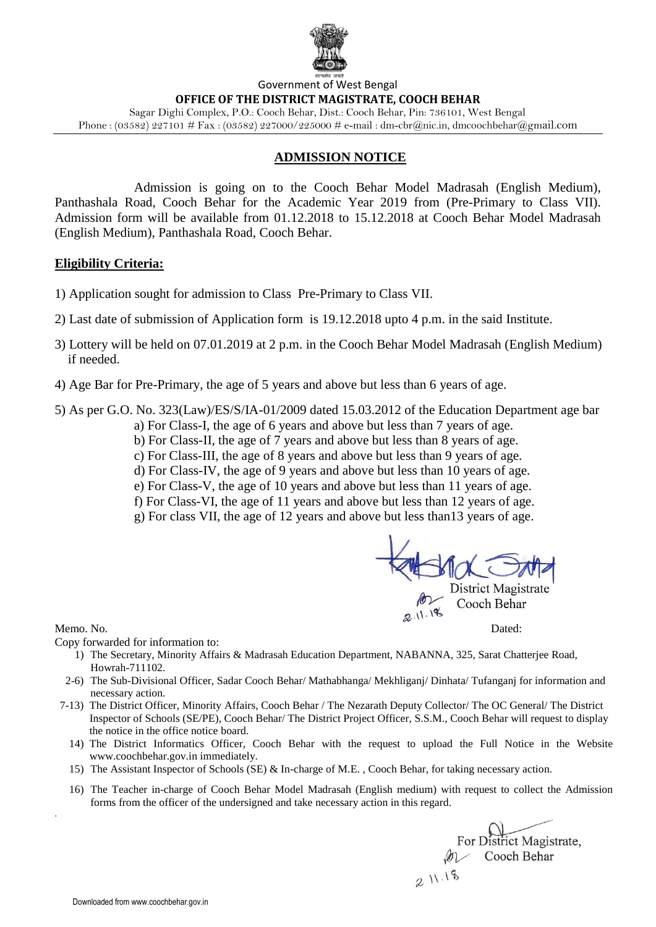

### Government of West Bengal **OFFICE OF THE DISTRICT MAGISTRATE, COOCH BEHAR** Sagar Dighi Complex, P.O.: Cooch Behar, Dist.: Cooch Behar, Pin: 736101, West Bengal

Phone :  $(03582)$  227101 # Fax :  $(03582)$  227000/225000 # e-mail : dm-cbr@nic.in, dmcoochbehar@gmail.com

### **ADMISSION NOTICE**

Admission is going on to the Cooch Behar Model Madrasah (English Medium), Panthashala Road, Cooch Behar for the Academic Year 2019 from (Pre-Primary to Class VII). Admission form will be available from 01.12.2018 to 15.12.2018 at Cooch Behar Model Madrasah (English Medium), Panthashala Road, Cooch Behar.

### **Eligibility Criteria:**

- 1) Application sought for admission to Class Pre-Primary to Class VII.
- 2) Last date of submission of Application form is 19.12.2018 upto 4 p.m. in the said Institute.
- 3) Lottery will be held on 07.01.2019 at 2 p.m. in the Cooch Behar Model Madrasah (English Medium) if needed.
- 4) Age Bar for Pre-Primary, the age of 5 years and above but less than 6 years of age.
- 5) As per G.O. No. 323(Law)/ES/S/IA-01/2009 dated 15.03.2012 of the Education Department age bar
	- a) For Class-I, the age of 6 years and above but less than 7 years of age.
	- b) For Class-II, the age of 7 years and above but less than 8 years of age.
	- c) For Class-III, the age of 8 years and above but less than 9 years of age.
	- d) For Class-IV, the age of 9 years and above but less than 10 years of age.
	- e) For Class-V, the age of 10 years and above but less than 11 years of age.
	- f) For Class-VI, the age of 11 years and above but less than 12 years of age.
	- g) For class VII, the age of 12 years and above but less than13 years of age.



Memo. No. Dated:

.

Copy forwarded for information to:

- 1) The Secretary, Minority Affairs & Madrasah Education Department, NABANNA, 325, Sarat Chatterjee Road, Howrah-711102.
- 2-6) The Sub-Divisional Officer, Sadar Cooch Behar/ Mathabhanga/ Mekhliganj/ Dinhata/ Tufanganj for information and necessary action.
- 7-13) The District Officer, Minority Affairs, Cooch Behar / The Nezarath Deputy Collector/ The OC General/ The District Inspector of Schools (SE/PE), Cooch Behar/ The District Project Officer, S.S.M., Cooch Behar will request to display the notice in the office notice board.
	- 14) The District Informatics Officer, Cooch Behar with the request to upload the Full Notice in the Website www.coochbehar.gov.in immediately.
	- 15) The Assistant Inspector of Schools (SE) & In-charge of M.E. , Cooch Behar, for taking necessary action.
	- 16) The Teacher in-charge of Cooch Behar Model Madrasah (English medium) with request to collect the Admission forms from the officer of the undersigned and take necessary action in this regard.

For District Magistrate, M Cooch Behar 211.18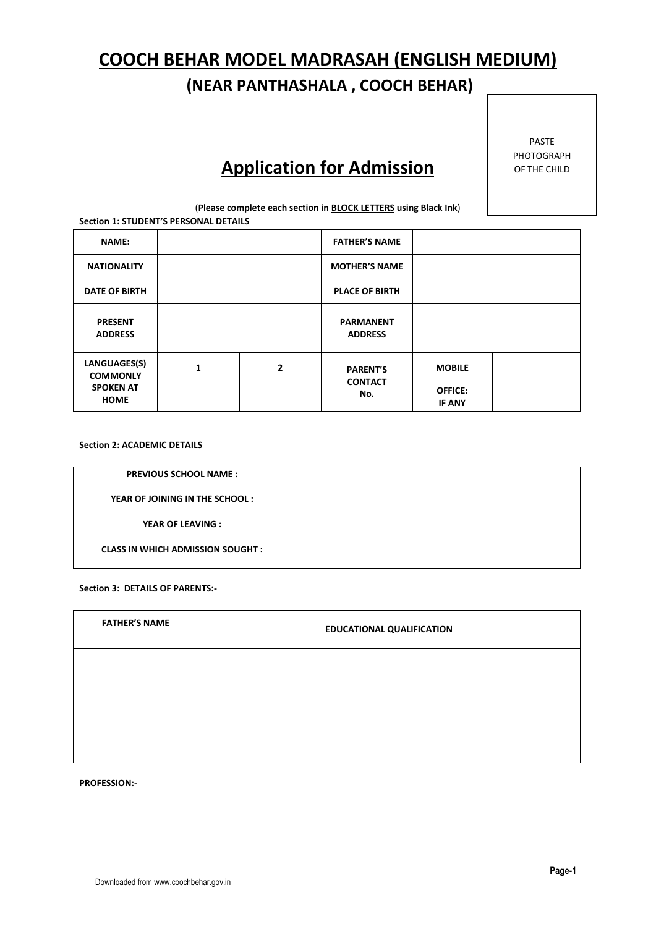# **COOCH BEHAR MODEL MADRASAH (ENGLISH MEDIUM)**

## **(NEAR PANTHASHALA , COOCH BEHAR)**

# **Application for Admission**

PASTE PHOTOGRAPH OF THE CHILD

(**Please complete each section in BLOCK LETTERS using Black Ink**) **Section 1: STUDENT'S PERSONAL DETAILS**

| <b>NAME:</b>                                                            |  |                | <b>FATHER'S NAME</b>                     |                                 |  |
|-------------------------------------------------------------------------|--|----------------|------------------------------------------|---------------------------------|--|
| <b>NATIONALITY</b>                                                      |  |                | <b>MOTHER'S NAME</b>                     |                                 |  |
| <b>DATE OF BIRTH</b>                                                    |  |                | <b>PLACE OF BIRTH</b>                    |                                 |  |
| <b>PRESENT</b><br><b>ADDRESS</b>                                        |  |                | <b>PARMANENT</b><br><b>ADDRESS</b>       |                                 |  |
| LANGUAGES(S)<br>1<br><b>COMMONLY</b><br><b>SPOKEN AT</b><br><b>HOME</b> |  | $\overline{2}$ | <b>PARENT'S</b><br><b>CONTACT</b><br>No. | <b>MOBILE</b>                   |  |
|                                                                         |  |                |                                          | <b>OFFICE:</b><br><b>IF ANY</b> |  |

### **Section 2: ACADEMIC DETAILS**

| <b>PREVIOUS SCHOOL NAME:</b>             |  |
|------------------------------------------|--|
| YEAR OF JOINING IN THE SCHOOL:           |  |
| <b>YEAR OF LEAVING:</b>                  |  |
| <b>CLASS IN WHICH ADMISSION SOUGHT :</b> |  |

#### **Section 3: DETAILS OF PARENTS:-**

| <b>FATHER'S NAME</b> | <b>EDUCATIONAL QUALIFICATION</b> |
|----------------------|----------------------------------|
|                      |                                  |
|                      |                                  |
|                      |                                  |

**PROFESSION:-**